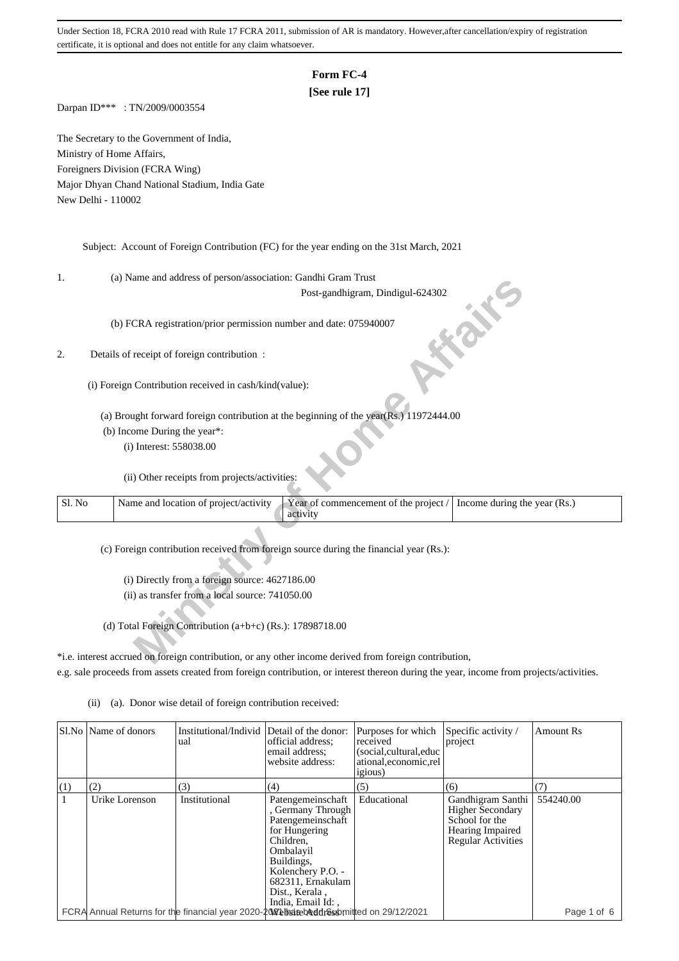# **Form FC-4**

### **[See rule 17]**

Darpan ID\*\*\* : TN/2009/0003554

The Secretary to the Government of India, Ministry of Home Affairs, Foreigners Division (FCRA Wing) Major Dhyan Chand National Stadium, India Gate New Delhi - 110002

Subject: Account of Foreign Contribution (FC) for the year ending on the 31st March, 2021

1. (a) Name and address of person/association: Gandhi Gram Trust

#### 2. Details of receipt of foreign contribution :

- (b) Income During the year\*:
	- (i) Interest: 558038.00

| ı.     | (a) ivality and address of person/association. Gandin Grain Trust                                                          |
|--------|----------------------------------------------------------------------------------------------------------------------------|
|        | Post-gandhigram, Dindigul-624302                                                                                           |
|        | in the<br>(b) FCRA registration/prior permission number and date: 075940007                                                |
|        | Details of receipt of foreign contribution :                                                                               |
|        | (i) Foreign Contribution received in cash/kind(value):                                                                     |
|        | (a) Brought forward foreign contribution at the beginning of the year(Rs.) 11972444.00                                     |
|        | (b) Income During the year*:                                                                                               |
|        | (i) Interest: 558038.00                                                                                                    |
|        | (ii) Other receipts from projects/activities:                                                                              |
| Sl. No | Name and location of project/activity<br>Year of commencement of the project /<br>Income during the year (Rs.)<br>activity |
|        | (c) Foreign contribution received from foreign source during the financial year (Rs.):                                     |
|        |                                                                                                                            |
|        | (i) Directly from a foreign source: 4627186.00                                                                             |
|        | (ii) as transfer from a local source: 741050.00                                                                            |
|        | (d) Total Foreign Contribution (a+b+c) (Rs.): $17898718.00$                                                                |
|        | *i.e. interest accrued on foreign contribution, or any other income derived from foreign contribution,                     |

\*i.e. interest accrued on foreign contribution, or any other income derived from foreign contribution, e.g. sale proceeds from assets created from foreign contribution, or interest thereon during the year, income from projects/activities.

|     | Sl.No   Name of donors | Institutional/Individ<br>ual                                                                  | Detail of the donor:<br>official address:<br>email address:<br>website address:                                                                                                                      | Purposes for which<br>received<br>(social, cultural, educ<br>ational, economic, rel<br><i>igious</i> ) | Specific activity /<br>project                                                                                         | <b>Amount Rs</b> |
|-----|------------------------|-----------------------------------------------------------------------------------------------|------------------------------------------------------------------------------------------------------------------------------------------------------------------------------------------------------|--------------------------------------------------------------------------------------------------------|------------------------------------------------------------------------------------------------------------------------|------------------|
| (1) | (2)                    | (3)                                                                                           | (4)                                                                                                                                                                                                  | (5)                                                                                                    | (6)                                                                                                                    |                  |
|     | Urike Lorenson         | Institutional                                                                                 | Patengemeinschaft<br>, Germany Through<br>Patengemeinschaft<br>for Hungering<br>Children.<br>Ombalayil<br>Buildings,<br>Kolenchery P.O. -<br>682311, Ernakulam<br>Dist., Kerala,<br>India, Email Id: | Educational                                                                                            | Gandhigram Santhi<br><b>Higher Secondary</b><br>School for the<br><b>Hearing Impaired</b><br><b>Regular Activities</b> | 554240.00        |
|     |                        | FCRA Annual Returns for the financial year 2020-20 Vet bridge beddings b mitted on 29/12/2021 |                                                                                                                                                                                                      |                                                                                                        |                                                                                                                        | Page 1 of 6      |

(ii) (a). Donor wise detail of foreign contribution received: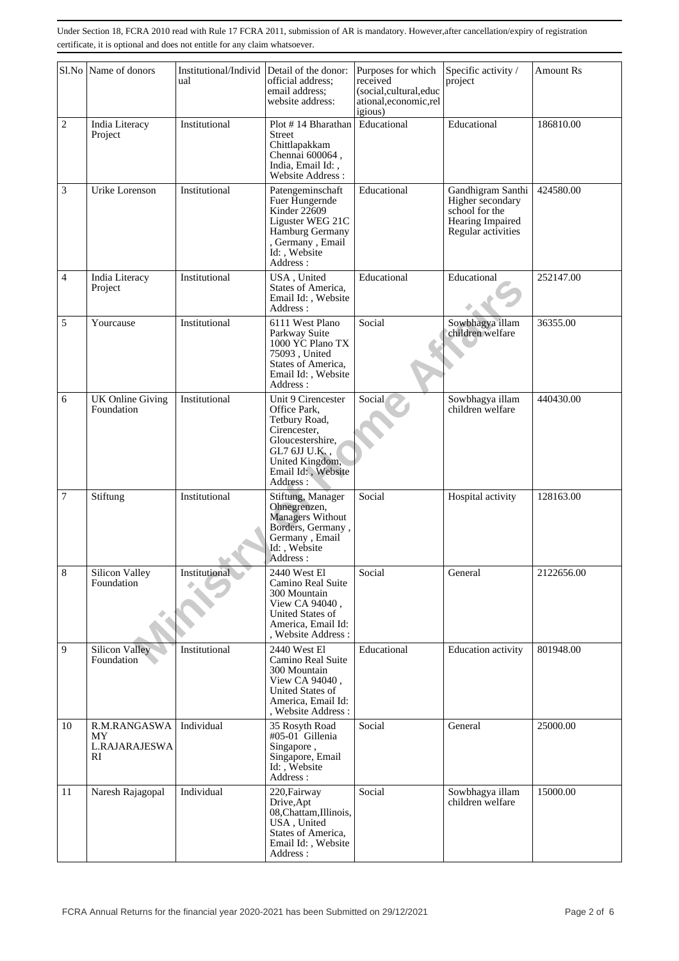|                | Sl.No Name of donors                             | Institutional/Individ<br>ual | Detail of the donor:<br>official address:<br>email address;<br>website address:                                                                               | Purposes for which<br>received<br>(social,cultural,educ<br>ational, economic, rel<br>igious) | Specific activity /<br>project                                                                    | <b>Amount Rs</b> |
|----------------|--------------------------------------------------|------------------------------|---------------------------------------------------------------------------------------------------------------------------------------------------------------|----------------------------------------------------------------------------------------------|---------------------------------------------------------------------------------------------------|------------------|
| $\overline{c}$ | India Literacy<br>Project                        | Institutional                | Plot #14 Bharathan<br>Street<br>Chittlapakkam<br>Chennai 600064,<br>India, Email Id:,<br>Website Address:                                                     | Educational                                                                                  | Educational                                                                                       | 186810.00        |
| 3              | Urike Lorenson                                   | Institutional                | Patengeminschaft<br>Fuer Hungernde<br>Kinder 22609<br>Liguster WEG 21C<br>Hamburg Germany<br>, Germany, Email<br>Id:, Website<br>Address:                     | Educational                                                                                  | Gandhigram Santhi<br>Higher secondary<br>school for the<br>Hearing Impaired<br>Regular activities | 424580.00        |
| 4              | India Literacy<br>Project                        | Institutional                | USA, United<br>States of America,<br>Email Id:, Website<br>Address:                                                                                           | Educational                                                                                  | Educational                                                                                       | 252147.00        |
| 5              | Yourcause                                        | Institutional                | 6111 West Plano<br>Parkway Suite<br>1000 YC Plano TX<br>75093, United<br>States of America,<br>Email Id:, Website<br>Address:                                 | Social                                                                                       | Sowbhagya illam<br>children welfare                                                               | 36355.00         |
| 6              | <b>UK Online Giving</b><br>Foundation            | Institutional                | Unit 9 Cirencester<br>Office Park,<br>Tetbury Road,<br>Cirencester,<br>Gloucestershire,<br>GL7 6JJ U.K.,<br>United Kingdom,<br>Email Id:, Website<br>Address: | Social                                                                                       | Sowbhagya illam<br>children welfare                                                               | 440430.00        |
| 7              | Stiftung                                         | Institutional                | Stiftung, Manager<br>Ohnegrenzen,<br>Managers Without<br>Borders, Germany,<br>Germany, Email<br>Id:, Website<br>Address:                                      | Social                                                                                       | Hospital activity                                                                                 | 128163.00        |
| 8              | Silicon Valley<br>Foundation                     | <b>Institutional</b>         | 2440 West El<br>Camino Real Suite<br>300 Mountain<br>View CA 94040,<br>United States of<br>America, Email Id:<br>, Website Address :                          | Social                                                                                       | General                                                                                           | 2122656.00       |
| 9              | <b>Silicon Valley</b><br>Foundation              | Institutional                | 2440 West El<br>Camino Real Suite<br>300 Mountain<br>View CA 94040,<br>United States of<br>America, Email Id:<br>, Website Address :                          | Educational                                                                                  | <b>Education</b> activity                                                                         | 801948.00        |
| 10             | R.M.RANGASWA<br><b>MY</b><br>L.RAJARAJESWA<br>RI | Individual                   | 35 Rosyth Road<br>#05-01 Gillenia<br>Singapore,<br>Singapore, Email<br>Id:, Website<br>Address:                                                               | Social                                                                                       | General                                                                                           | 25000.00         |
| 11             | Naresh Rajagopal                                 | Individual                   | 220, Fairway<br>Drive, Apt<br>08, Chattam, Illinois,<br>USA, United<br>States of America,<br>Email Id:, Website<br>Address:                                   | Social                                                                                       | Sowbhagya illam<br>children welfare                                                               | 15000.00         |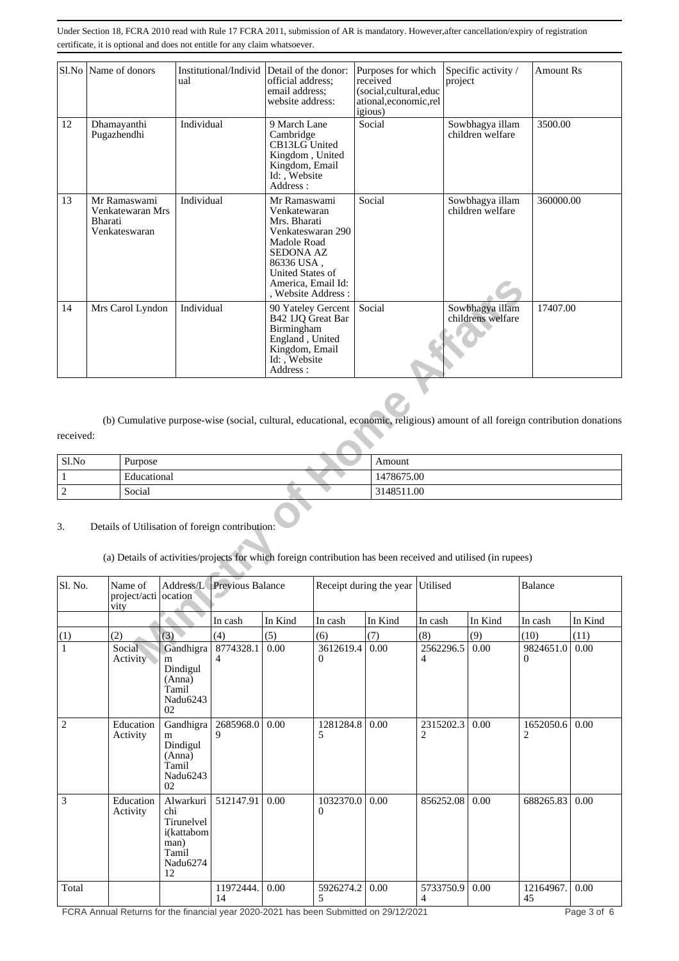|                                                                                                                                                                       |                  | Sl.No Name of donors                    | ual            | Institutional/Individ Detail of the donor:                                                                                                                                                     | official address:<br>email address:<br>website address:                                                                 |                | Purposes for which<br>Specific activity /<br><b>Amount Rs</b><br>received<br>project<br>(social,cultural,educ<br>ational,economic,rel<br>igious) |                                     |                                      |                |         |  |  |
|-----------------------------------------------------------------------------------------------------------------------------------------------------------------------|------------------|-----------------------------------------|----------------|------------------------------------------------------------------------------------------------------------------------------------------------------------------------------------------------|-------------------------------------------------------------------------------------------------------------------------|----------------|--------------------------------------------------------------------------------------------------------------------------------------------------|-------------------------------------|--------------------------------------|----------------|---------|--|--|
| 12<br>Dhamayanthi<br>Pugazhendhi                                                                                                                                      |                  | Individual                              |                | 9 March Lane<br>Cambridge<br>CB13LG United<br>Kingdom, United<br>Kingdom, Email<br>Id: , Website                                                                                               |                                                                                                                         | Social         |                                                                                                                                                  | Sowbhagya illam<br>children welfare | 3500.00                              |                |         |  |  |
| 13<br>Mr Ramaswami<br>Venkatewaran Mrs<br>Bharati<br>Venkateswaran                                                                                                    |                  | Individual                              |                | Address:<br>Mr Ramaswami<br>Venkatewaran<br>Mrs. Bharati<br>Venkateswaran 290<br>Madole Road<br><b>SEDONA AZ</b><br>86336 USA,<br>United States of<br>America, Email Id:<br>, Website Address: |                                                                                                                         | Social         |                                                                                                                                                  | Sowbhagya illam<br>children welfare | 360000.00                            |                |         |  |  |
| 14                                                                                                                                                                    | Mrs Carol Lyndon |                                         | Individual     |                                                                                                                                                                                                | 90 Yateley Gercent<br>B42 1JQ Great Bar<br>Birmingham<br>England, United<br>Kingdom, Email<br>Id:, Website<br>Address : |                | Social                                                                                                                                           |                                     | Sowbhagya illam<br>childrens welfare | 17407.00       |         |  |  |
| received:                                                                                                                                                             |                  |                                         |                |                                                                                                                                                                                                |                                                                                                                         |                | (b) Cumulative purpose-wise (social, cultural, educational, economic, religious) amount of all foreign contribution donations                    |                                     |                                      |                |         |  |  |
| Sl.No                                                                                                                                                                 |                  | Purpose                                 |                |                                                                                                                                                                                                |                                                                                                                         |                | Amount                                                                                                                                           |                                     |                                      |                |         |  |  |
| $\mathbf{1}$                                                                                                                                                          |                  | Educational                             |                |                                                                                                                                                                                                |                                                                                                                         |                |                                                                                                                                                  | 1478675.00                          |                                      |                |         |  |  |
| $\overline{2}$                                                                                                                                                        |                  | Social                                  |                |                                                                                                                                                                                                |                                                                                                                         |                | 3148511.00                                                                                                                                       |                                     |                                      |                |         |  |  |
| Details of Utilisation of foreign contribution:<br>3.<br>(a) Details of activities/projects for which foreign contribution has been received and utilised (in rupees) |                  |                                         |                |                                                                                                                                                                                                |                                                                                                                         |                |                                                                                                                                                  |                                     |                                      |                |         |  |  |
| Sl. No.                                                                                                                                                               |                  | Name of<br>project/acti ocation<br>vity | Address/L      | <b>Previous Balance</b>                                                                                                                                                                        |                                                                                                                         |                | Receipt during the year Utilised                                                                                                                 |                                     |                                      | Balance        |         |  |  |
|                                                                                                                                                                       |                  |                                         |                | In cash                                                                                                                                                                                        | In Kind                                                                                                                 | In cash        | In Kind                                                                                                                                          | In cash                             | In Kind                              | In cash        | In Kind |  |  |
| (1)                                                                                                                                                                   |                  | (2)                                     | (3)            | (4)                                                                                                                                                                                            | (5)                                                                                                                     | (6)            | (7)                                                                                                                                              | (8)                                 | (9)                                  | (10)           | (11)    |  |  |
| $\mathbf{1}$                                                                                                                                                          |                  | Social<br>Activity                      | Gandhigra<br>m | 8774328.1                                                                                                                                                                                      | 0.00                                                                                                                    | 3612619.4<br>0 | 0.00                                                                                                                                             | 2562296.5<br>4                      | 0.00                                 | 9824651.0<br>0 | 0.00    |  |  |

| Sl.No | Purpose     | Amount     |
|-------|-------------|------------|
|       | Educational | 1478675.00 |
| -     | Social      | 3148511.00 |

## 3. Details of Utilisation of foreign contribution:

| Sl. No.        | Name of<br>project/acti ocation<br>vity |                                                                                 | Address/L Previous Balance  |         |                       | Receipt during the year Utilised |                             |         | Balance               |         |
|----------------|-----------------------------------------|---------------------------------------------------------------------------------|-----------------------------|---------|-----------------------|----------------------------------|-----------------------------|---------|-----------------------|---------|
|                |                                         |                                                                                 | In cash                     | In Kind | In cash               | In Kind                          | In cash                     | In Kind | In cash               | In Kind |
| (1)            | (2)                                     | (3)                                                                             | (4)                         | (5)     | (6)                   | (7)                              | (8)                         | (9)     | (10)                  | (11)    |
| $\mathbf{1}$   | Social<br>Activity                      | Gandhigra<br>m<br>Dindigul<br>(Anna)<br>Tamil<br>Nadu6243<br>02                 | 8774328.1<br>$\overline{4}$ | 0.00    | 3612619.4<br>$\Omega$ | 0.00                             | 2562296.5<br>$\overline{4}$ | 0.00    | 9824651.0<br>$\Omega$ | 0.00    |
| $\overline{2}$ | Education<br>Activity                   | Gandhigra<br>m<br>Dindigul<br>(Anna)<br>Tamil<br>Nadu6243<br>02                 | 2685968.0<br>9              | 0.00    | 1281284.8<br>5        | 0.00                             | 2315202.3<br>$\overline{2}$ | 0.00    | 1652050.6<br>2        | 0.00    |
| 3              | Education<br>Activity                   | Alwarkuri<br>chi<br>Tirunelvel<br>i(kattabom<br>man)<br>Tamil<br>Nadu6274<br>12 | 512147.91                   | 0.00    | 1032370.0<br>0        | 0.00                             | 856252.08                   | 0.00    | 688265.83             | 0.00    |
| Total          |                                         |                                                                                 | 11972444.<br>14             | 0.00    | 5926274.2<br>5        | 0.00                             | 5733750.9<br>4              | 0.00    | 12164967.<br>45       | 0.00    |

FCRA Annual Returns for the financial year 2020-2021 has been Submitted on 29/12/2021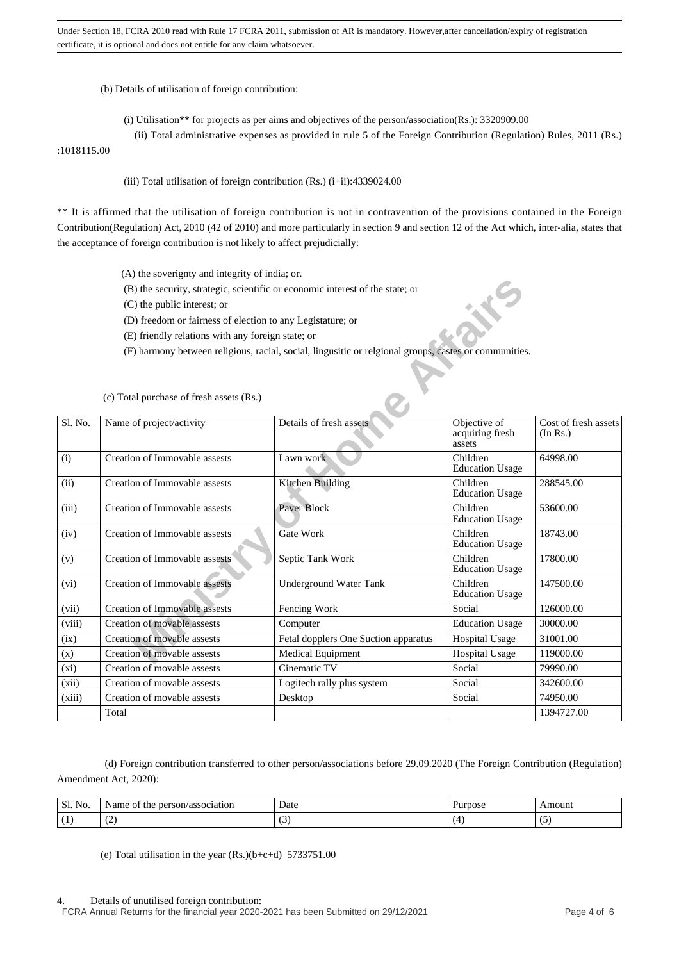(b) Details of utilisation of foreign contribution:

- (i) Utilisation\*\* for projects as per aims and objectives of the person/association(Rs.): 3320909.00
- (ii) Total administrative expenses as provided in rule 5 of the Foreign Contribution (Regulation) Rules, 2011 (Rs.)

### :1018115.00

#### (iii) Total utilisation of foreign contribution (Rs.) (i+ii):4339024.00

\*\* It is affirmed that the utilisation of foreign contribution is not in contravention of the provisions contained in the Foreign Contribution(Regulation) Act, 2010 (42 of 2010) and more particularly in section 9 and section 12 of the Act which, inter-alia, states that the acceptance of foreign contribution is not likely to affect prejudicially:

- (A) the soverignty and integrity of india; or.
- (B) the security, strategic, scientific or economic interest of the state; or
- (C) the public interest; or
- (D) freedom or fairness of election to any Legistature; or
- (E) friendly relations with any foreign state; or
- (F) harmony between religious, racial, social, lingusitic or relgional groups, castes or communities.

|         | (B) the security, strategic, scientific or economic interest of the state; or |                                                                                                       |                                           |                                  |
|---------|-------------------------------------------------------------------------------|-------------------------------------------------------------------------------------------------------|-------------------------------------------|----------------------------------|
|         | (C) the public interest; or                                                   |                                                                                                       |                                           |                                  |
|         | (D) freedom or fairness of election to any Legistature; or                    |                                                                                                       |                                           |                                  |
|         | (E) friendly relations with any foreign state; or                             |                                                                                                       |                                           |                                  |
|         |                                                                               |                                                                                                       |                                           |                                  |
|         |                                                                               | (F) harmony between religious, racial, social, lingusitic or relgional groups, castes or communities. |                                           |                                  |
|         |                                                                               |                                                                                                       |                                           |                                  |
|         |                                                                               |                                                                                                       |                                           |                                  |
|         | (c) Total purchase of fresh assets (Rs.)                                      |                                                                                                       |                                           |                                  |
| Sl. No. | Name of project/activity                                                      | Details of fresh assets                                                                               | Objective of<br>acquiring fresh<br>assets | Cost of fresh assets<br>(In Rs.) |
| (i)     | Creation of Immovable assests                                                 | Lawn work                                                                                             | Children<br><b>Education Usage</b>        | 64998.00                         |
| (ii)    | Creation of Immovable assests                                                 | Kitchen Building                                                                                      | Children<br><b>Education Usage</b>        | 288545.00                        |
| (iii)   | Creation of Immovable assests                                                 | Paver Block                                                                                           | Children<br><b>Education Usage</b>        | 53600.00                         |
| (iv)    | Creation of Immovable assests                                                 | Gate Work                                                                                             | Children<br><b>Education Usage</b>        | 18743.00                         |
| (v)     | Creation of Immovable assests                                                 | Septic Tank Work                                                                                      | Children<br><b>Education Usage</b>        | 17800.00                         |
| (vi)    | <b>Creation of Immovable assests</b>                                          | <b>Underground Water Tank</b>                                                                         | Children<br><b>Education Usage</b>        | 147500.00                        |
| (vii)   | <b>Creation of Immovable assests</b>                                          | Fencing Work                                                                                          | Social                                    | 126000.00                        |
| (viii)  | Creation of movable assests                                                   | Computer                                                                                              | <b>Education Usage</b>                    | 30000.00                         |
| (ix)    | Creation of movable assests                                                   | Fetal dopplers One Suction apparatus                                                                  | <b>Hospital Usage</b>                     | 31001.00                         |
| (x)     | Creation of movable assests                                                   | <b>Medical Equipment</b>                                                                              | <b>Hospital Usage</b>                     | 119000.00                        |
| (xi)    | Creation of movable assests                                                   | Cinematic TV                                                                                          | Social                                    | 79990.00                         |
| (xii)   | Creation of movable assests                                                   | Logitech rally plus system                                                                            | Social                                    | 342600.00                        |
| (xiii)  | Creation of movable assests                                                   | Desktop                                                                                               | Social                                    | 74950.00                         |
|         | Total                                                                         |                                                                                                       |                                           | 1394727.00                       |

#### (c) Total purchase of fresh assets (Rs.)

 (d) Foreign contribution transferred to other person/associations before 29.09.2020 (The Foreign Contribution (Regulation) Amendment Act, 2020):

| Sl.<br>$\sim$ $\sim$<br>No. | - -<br>rson/association<br>Name.<br>pers<br>the<br>-01 | Date                     | irdose   | Amount                        |
|-----------------------------|--------------------------------------------------------|--------------------------|----------|-------------------------------|
| $\overline{ }$              | $\sim$<br>. <u>. .</u>                                 | $\overline{\phantom{a}}$ | $\Delta$ | $\overline{\phantom{0}}$<br>w |

(e) Total utilisation in the year  $(Rs.)(b+c+d)$  5733751.00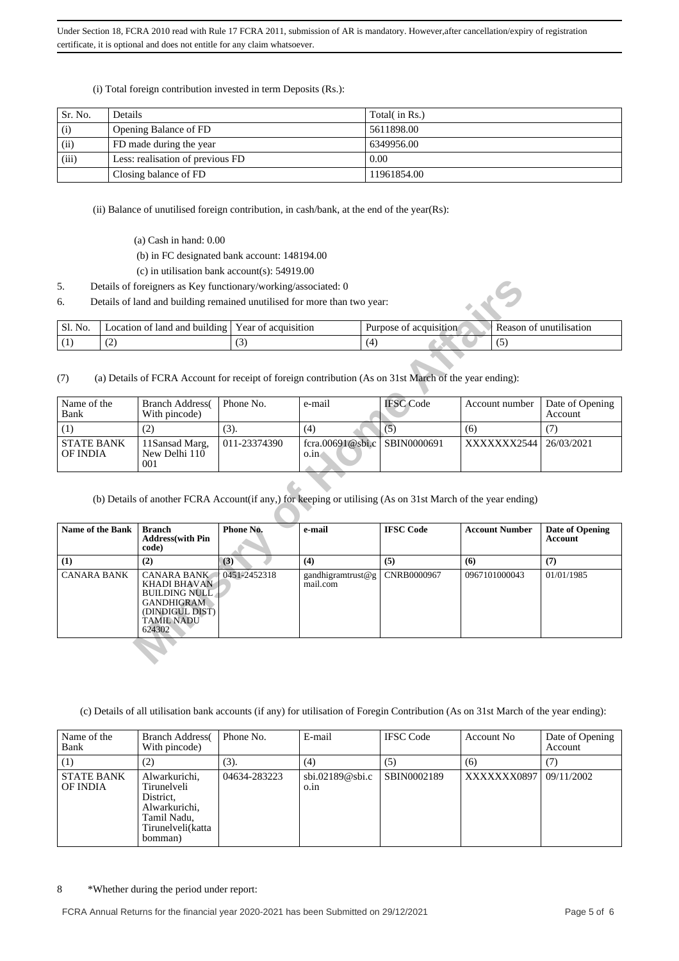(i) Total foreign contribution invested in term Deposits (Rs.):

| Sr. No. | Details                          | Total( in Rs.) |
|---------|----------------------------------|----------------|
| (i)     | Opening Balance of FD            | 5611898.00     |
| (ii)    | FD made during the year          | 6349956.00     |
| (iii)   | Less: realisation of previous FD | 0.00           |
|         | Closing balance of FD            | 11961854.00    |

(ii) Balance of unutilised foreign contribution, in cash/bank, at the end of the year(Rs):

- (a) Cash in hand: 0.00
- (b) in FC designated bank account: 148194.00
- (c) in utilisation bank account(s): 54919.00
- 5. Details of foreigners as Key functionary/working/associated: 0
- 6. Details of land and building remained unutilised for more than two year:

| N <sub>O</sub><br>ЭI. | í and building<br>. land<br>ocation of | acquisition<br>r ear<br>ΩT | `acquisition<br>Purpose<br>ΟĪ | unutilisation<br>ceason |
|-----------------------|----------------------------------------|----------------------------|-------------------------------|-------------------------|
|                       | ╰                                      | $\sim$<br><u>、</u>         |                               |                         |

| Name of the<br>Bank           | <b>Branch Address</b><br>With pincode) | Phone No.    | e-mail                                            | <b>IFSC</b> Code | Account number        | Date of Opening<br><b>Account</b> |
|-------------------------------|----------------------------------------|--------------|---------------------------------------------------|------------------|-----------------------|-----------------------------------|
|                               |                                        | (3).         | (4)                                               |                  | (6)                   |                                   |
| <b>STATE BANK</b><br>OF INDIA | 11Sansad Marg,<br>New Delhi 110<br>001 | 011-23374390 | fcra.00691@sbi.c SBIN0000691<br>$0.\overline{1}n$ |                  | XXXXXX2544 26/03/2021 |                                   |

| 5.<br>6.                                                                                                                                                       |                                                                                                                                                                                                                                | Details of foreigners as Key functionary/working/associated: 0<br>Details of land and building remained unutilised for more than two year: |                               |                                |                        |               |                       |                         |  |
|----------------------------------------------------------------------------------------------------------------------------------------------------------------|--------------------------------------------------------------------------------------------------------------------------------------------------------------------------------------------------------------------------------|--------------------------------------------------------------------------------------------------------------------------------------------|-------------------------------|--------------------------------|------------------------|---------------|-----------------------|-------------------------|--|
|                                                                                                                                                                |                                                                                                                                                                                                                                |                                                                                                                                            |                               |                                |                        |               |                       |                         |  |
| Sl. No.                                                                                                                                                        |                                                                                                                                                                                                                                | Location of land and building                                                                                                              | Year of acquisition           |                                | Purpose of acquisition |               |                       | Reason of unutilisation |  |
| (1)                                                                                                                                                            | (2)                                                                                                                                                                                                                            |                                                                                                                                            | (3)                           | (4)                            |                        |               | (5)                   |                         |  |
| (7)                                                                                                                                                            | (a) Details of FCRA Account for receipt of foreign contribution (As on 31st March of the year ending):<br><b>IFSC</b> Code<br>Name of the<br>Phone No.<br><b>Branch Address</b><br>e-mail<br>Date of Opening<br>Account number |                                                                                                                                            |                               |                                |                        |               |                       |                         |  |
| Bank                                                                                                                                                           |                                                                                                                                                                                                                                | With pincode)                                                                                                                              |                               |                                |                        |               |                       | Account                 |  |
| (1)                                                                                                                                                            |                                                                                                                                                                                                                                | (2)                                                                                                                                        | (3).                          | (4)                            | (5)                    | (6)           |                       | (7)                     |  |
| <b>STATE BANK</b><br><b>OF INDIA</b>                                                                                                                           |                                                                                                                                                                                                                                | 11Sansad Marg,<br>New Delhi 110<br>001                                                                                                     | 011-23374390                  | fcra.00691@sbi.c<br>$0.\infty$ | SBIN0000691            | XXXXXXX2544   |                       | 26/03/2021              |  |
|                                                                                                                                                                | <b>Name of the Bank</b>                                                                                                                                                                                                        | (b) Details of another FCRA Account(if any,) for keeping or utilising (As on 31st March of the year ending)<br><b>Branch</b>               | Phone No.                     | e-mail                         | <b>IFSC Code</b>       |               | <b>Account Number</b> | Date of Opening         |  |
|                                                                                                                                                                |                                                                                                                                                                                                                                | <b>Address</b> (with Pin<br>code)                                                                                                          |                               |                                |                        |               |                       | <b>Account</b>          |  |
| (1)                                                                                                                                                            |                                                                                                                                                                                                                                | (2)                                                                                                                                        | (3)                           | (4)                            | (5)                    | (6)           |                       | (7)                     |  |
| <b>CANARA BANK</b><br><b>CANARA BANK</b><br><b>KHADI BHAVAN</b><br><b>BUILDING NULL</b><br><b>GANDHIGRAM</b><br>(DINDIGUL DIST)<br><b>TAMIL NADU</b><br>624302 |                                                                                                                                                                                                                                | 0451-2452318                                                                                                                               | gandhigramtrust@g<br>mail.com | CNRB0000967                    |                        | 0967101000043 | 01/01/1985            |                         |  |
|                                                                                                                                                                |                                                                                                                                                                                                                                |                                                                                                                                            |                               |                                |                        |               |                       |                         |  |

(c) Details of all utilisation bank accounts (if any) for utilisation of Foregin Contribution (As on 31st March of the year ending):

| Name of the<br>Bank           | <b>Branch Address</b><br>With pincode)                                                                    | Phone No.    | E-mail                                             | <b>IFSC</b> Code | Account No  | Date of Opening<br>Account |
|-------------------------------|-----------------------------------------------------------------------------------------------------------|--------------|----------------------------------------------------|------------------|-------------|----------------------------|
| $^{(1)}$                      | (2)                                                                                                       | (3).         | (4)                                                | (5)              | (6)         |                            |
| <b>STATE BANK</b><br>OF INDIA | Alwarkurichi,<br>Tirunelveli<br>District.<br>Alwarkurichi.<br>Tamil Nadu,<br>Tirunelveli(katta<br>bomman) | 04634-283223 | $\dot{\text{b}}$ i.02189@sbi.c<br>$0.\overline{m}$ | SBIN0002189      | XXXXXXX0897 | 09/11/2002                 |

8 \*Whether during the period under report: